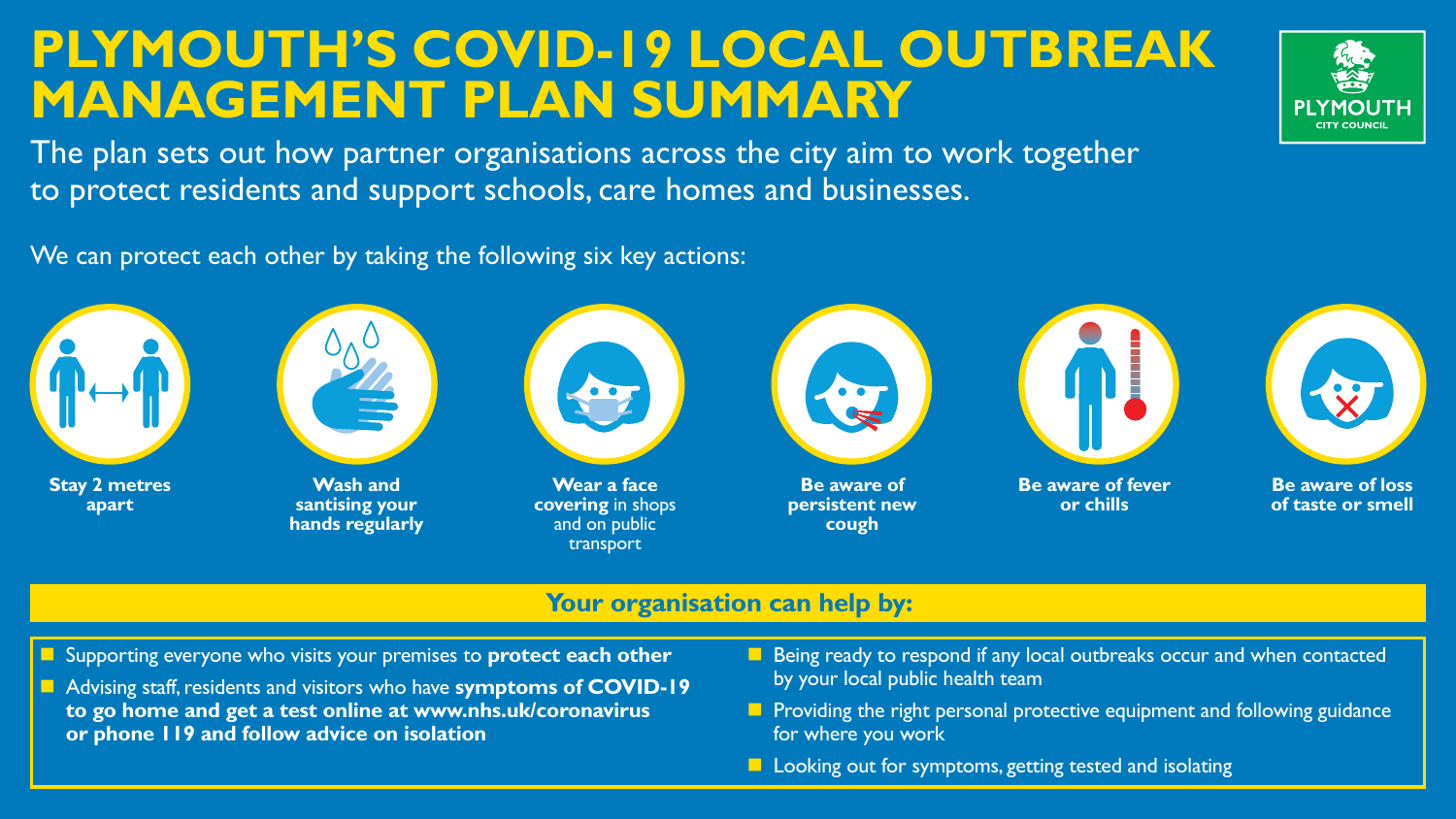# **PLYMOUTH'S COVID-19 LOCAL OUTBREAK MANAGEMENT PLAN SUMMARY**

The plan sets out how partner organisations across the city aim to work together to protect residents and support schools, care homes and businesses.

# We can protect each other by taking the following six key actions:

## **Your organisation can help by:**

**n Supporting everyone who visits your premises to protect each other** 



**n** Advising staff, residents and visitors who have **symptoms of COVID-19 to go home and get a test online at www.nhs.uk/coronavirus or phone 119 and follow advice on isolation**









**Be aware of persistent new cough**



## **Be aware of loss of taste or smell**

**Wash and santising your hands regularly**

**Be aware of fever or chills**

- **n Being ready to respond if any local outbreaks occur and when contacted** by your local public health team
- **n Providing the right personal protective equipment and following guidance** for where you work
- **Looking out for symptoms, getting tested and isolating**





**Wear a face covering** in shops and on public transport